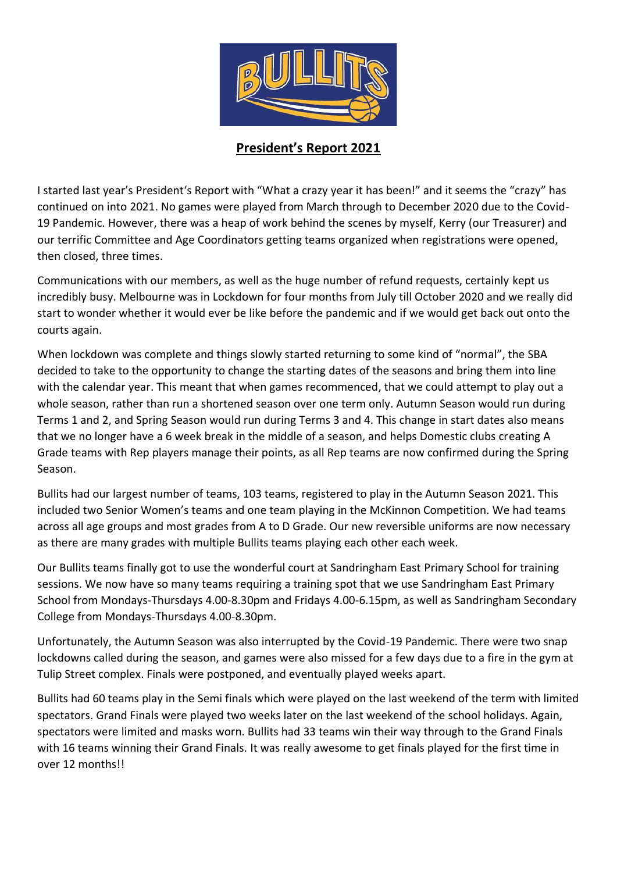

## **President's Report 2021**

I started last year's President's Report with "What a crazy year it has been!" and it seems the "crazy" has continued on into 2021. No games were played from March through to December 2020 due to the Covid-19 Pandemic. However, there was a heap of work behind the scenes by myself, Kerry (our Treasurer) and our terrific Committee and Age Coordinators getting teams organized when registrations were opened, then closed, three times.

Communications with our members, as well as the huge number of refund requests, certainly kept us incredibly busy. Melbourne was in Lockdown for four months from July till October 2020 and we really did start to wonder whether it would ever be like before the pandemic and if we would get back out onto the courts again.

When lockdown was complete and things slowly started returning to some kind of "normal", the SBA decided to take to the opportunity to change the starting dates of the seasons and bring them into line with the calendar year. This meant that when games recommenced, that we could attempt to play out a whole season, rather than run a shortened season over one term only. Autumn Season would run during Terms 1 and 2, and Spring Season would run during Terms 3 and 4. This change in start dates also means that we no longer have a 6 week break in the middle of a season, and helps Domestic clubs creating A Grade teams with Rep players manage their points, as all Rep teams are now confirmed during the Spring Season.

Bullits had our largest number of teams, 103 teams, registered to play in the Autumn Season 2021. This included two Senior Women's teams and one team playing in the McKinnon Competition. We had teams across all age groups and most grades from A to D Grade. Our new reversible uniforms are now necessary as there are many grades with multiple Bullits teams playing each other each week.

Our Bullits teams finally got to use the wonderful court at Sandringham East Primary School for training sessions. We now have so many teams requiring a training spot that we use Sandringham East Primary School from Mondays-Thursdays 4.00-8.30pm and Fridays 4.00-6.15pm, as well as Sandringham Secondary College from Mondays-Thursdays 4.00-8.30pm.

Unfortunately, the Autumn Season was also interrupted by the Covid-19 Pandemic. There were two snap lockdowns called during the season, and games were also missed for a few days due to a fire in the gym at Tulip Street complex. Finals were postponed, and eventually played weeks apart.

Bullits had 60 teams play in the Semi finals which were played on the last weekend of the term with limited spectators. Grand Finals were played two weeks later on the last weekend of the school holidays. Again, spectators were limited and masks worn. Bullits had 33 teams win their way through to the Grand Finals with 16 teams winning their Grand Finals. It was really awesome to get finals played for the first time in over 12 months!!